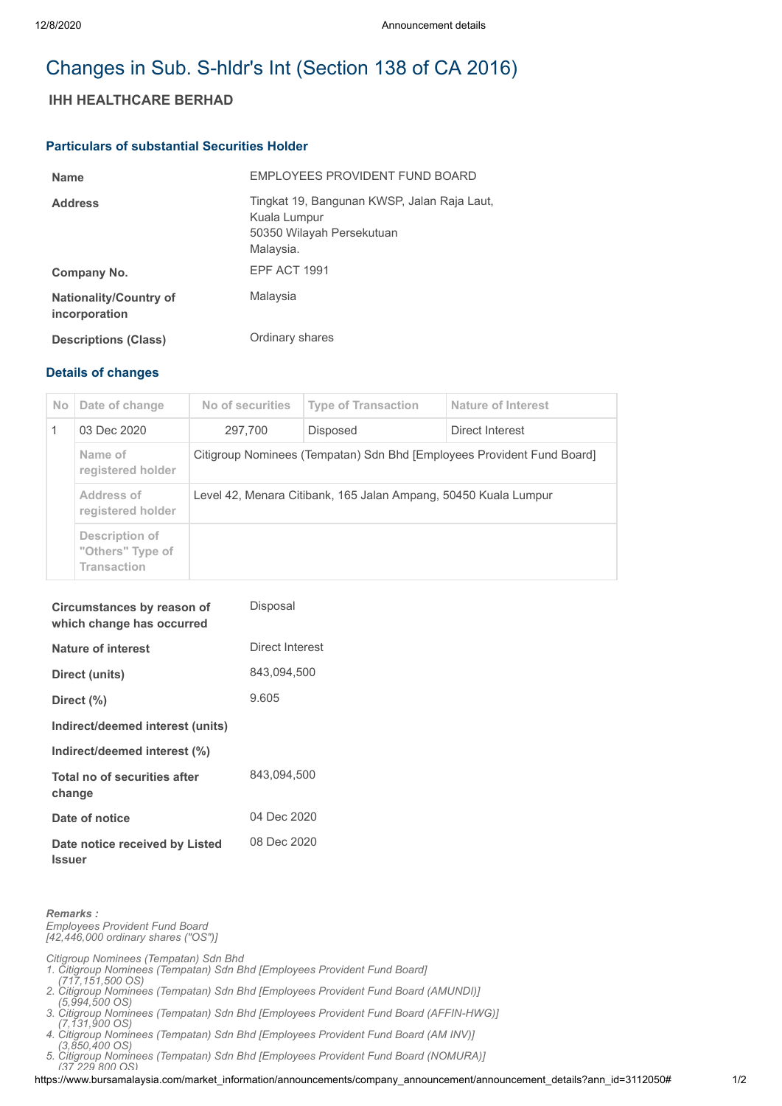# Changes in Sub. S-hldr's Int (Section 138 of CA 2016)

## **IHH HEALTHCARE BERHAD**

#### **Particulars of substantial Securities Holder**

| <b>Name</b>                                    | EMPLOYEES PROVIDENT FUND BOARD                                                                        |
|------------------------------------------------|-------------------------------------------------------------------------------------------------------|
| <b>Address</b>                                 | Tingkat 19, Bangunan KWSP, Jalan Raja Laut,<br>Kuala Lumpur<br>50350 Wilayah Persekutuan<br>Malaysia. |
| Company No.                                    | EPF ACT 1991                                                                                          |
| <b>Nationality/Country of</b><br>incorporation | Malaysia                                                                                              |
| <b>Descriptions (Class)</b>                    | Ordinary shares                                                                                       |

### **Details of changes**

| No. | Date of change                                           | No of securities                                                       | <b>Type of Transaction</b> | Nature of Interest |  |
|-----|----------------------------------------------------------|------------------------------------------------------------------------|----------------------------|--------------------|--|
|     | 03 Dec 2020                                              | 297.700                                                                | <b>Disposed</b>            | Direct Interest    |  |
|     | Name of<br>registered holder                             | Citigroup Nominees (Tempatan) Sdn Bhd [Employees Provident Fund Board] |                            |                    |  |
|     | Address of<br>registered holder                          | Level 42, Menara Citibank, 165 Jalan Ampang, 50450 Kuala Lumpur        |                            |                    |  |
|     | Description of<br>"Others" Type of<br><b>Transaction</b> |                                                                        |                            |                    |  |

| Circumstances by reason of<br>which change has occurred | Disposal        |
|---------------------------------------------------------|-----------------|
| Nature of interest                                      | Direct Interest |
| Direct (units)                                          | 843.094.500     |
| Direct $(\% )$                                          | 9.605           |
| Indirect/deemed interest (units)                        |                 |
| Indirect/deemed interest (%)                            |                 |
| Total no of securities after<br>change                  | 843.094.500     |
| Date of notice                                          | 04 Dec 2020     |
| Date notice received by Listed<br><b>Issuer</b>         | 08 Dec 2020     |

*Remarks : Employees Provident Fund Board [42,446,000 ordinary shares ("OS")]*

*Citigroup Nominees (Tempatan) Sdn Bhd* 

- *1. Citigroup Nominees (Tempatan) Sdn Bhd [Employees Provident Fund Board]*
- *(717,151,500 OS) 2. Citigroup Nominees (Tempatan) Sdn Bhd [Employees Provident Fund Board (AMUNDI)]*
- *(5,994,500 OS) 3. Citigroup Nominees (Tempatan) Sdn Bhd [Employees Provident Fund Board (AFFIN-HWG)]*
- *(7,131,900 OS)*
- *4. Citigroup Nominees (Tempatan) Sdn Bhd [Employees Provident Fund Board (AM INV)] (3,850,400 OS)*
- *5. Citigroup Nominees (Tempatan) Sdn Bhd [Employees Provident Fund Board (NOMURA)]*